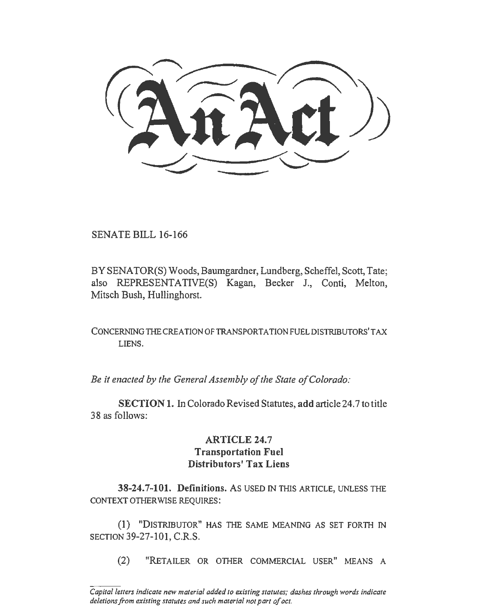SENATE BILL 16-166

BY SENATOR(S) Woods, Baumgardner, Lundberg, Scheffel, Scott, Tate; also REPRESENTATIVE(S) Kagan, Becker J., Conti, Melton, Mitsch Bush, Hullinghorst.

CONCERNING THE CREATION OF TRANSPORTATION FUEL DISTRIBUTORS' TAX LIENS.

*Be it enacted by the General Assembly of the State of Colorado:* 

SECTION 1. In Colorado Revised Statutes, add article 24.7 to title 38 as follows:

## **ARTICLE 24.7** Transportation Fuel Distributors' Tax Liens

38-24.7-101. Definitions. As USED IN THIS ARTICLE, UNLESS THE CONTEXT OTHERWISE REQUIRES:

(1) "DISTRIBUTOR" HAS THE SAME MEANING AS SET FORTH IN SECTION 39-27-101, C.R.S.

(2) "RETAILER OR OTHER COMMERCIAL USER" MEANS A

*Capital letters indicate new material added to existing statutes; dashes through words indicate deletions from existing statutes and such material not part of act.*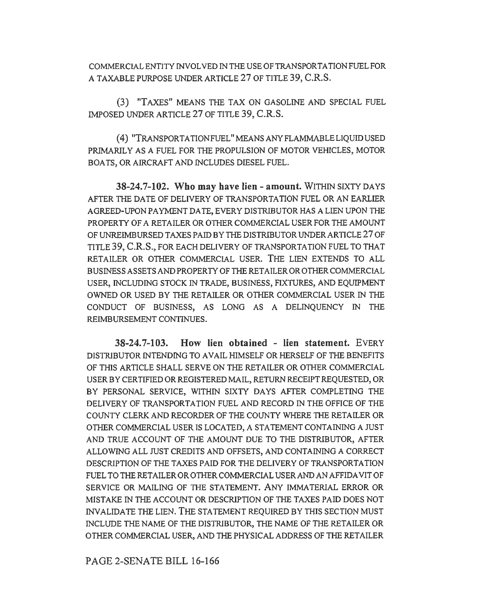COMMERCIAL ENTITY rNVOL VED IN THE USE OF TRANSPORTATION FUEL FOR A TAXABLE PURPOSE UNDER ARTICLE 27 OF TITLE 39, C.R.S.

(3) "TAXES" MEANS THE TAX ON GASOLINE AND SPECIAL FUEL IMPOSED UNDER ARTICLE 27 OF TITLE 39, C.R.S.

(4) "TRANSPORTATIONFUEL" MEANS ANY FLAMMABLE LIQUID USED PRIMARILY AS A FUEL FOR THE PROPULSION OF MOTOR VEHICLES, MOTOR BOA TS, OR AIRCRAFT AND INCLUDES DIESEL FUEL.

**38-24. 7-102. Who may have lien - amount.** WITHIN SIXTY DAYS AFTER THE DATE OF DELIVERY OF TRANSPORTATION FUEL OR AN EARLIER AGREED-UPON PAYMENT DA TE, EVERY DISTRIBUTOR HAS A LIEN UPON THE PROPERTY OF A RETAILER OR OTHER COMMERCIAL USER FOR THE AMOUNT OF UNREIMBURSED TAXES PAID BY THE DISTRIBUTOR UNDER ARTICLE 27 OF TITLE 39, C.R.S., FOR EACH DELIVERY OF TRANSPORTATION FUEL TO THAT RETAILER OR OTHER COMMERCIAL USER. THE LIEN EXTENDS TO ALL BUSINESS ASSETS AND PROPERTY OF THE RETAILER OR OTHER COMMERCIAL USER, INCLUDING STOCK IN TRADE, BUSINESS, FIXTURES, AND EQUIPMENT OWNED OR USED BY THE RETAILER OR OTHER COMMERCIAL USER IN THE CONDUCT OF BUSINESS, AS LONG AS A DELINQUENCY IN THE REIMBURSEMENT CONTINUES.

**38-24.7-103. How lien obtained - lien statement.** EVERY DISTRIBUTOR INTENDING TO A VAIL HIMSELF OR HERSELF OF THE BENEFITS OF THIS ARTICLE SHALL SERVE ON THE RETAILER OR OTHER COMMERCIAL USER BY CERTIFIED OR REGISTERED MAIL, RETURN RECEIPT REQUESTED, OR BY PERSONAL SERVICE, WITHIN SIXTY DAYS AFTER COMPLETING THE DELIVERY OF TRANSPORTATION FUEL AND RECORD IN THE OFFICE OF THE COUNTY CLERK AND RECORDER OF THE COUNTY WHERE THE RETAILER OR OTHER COMMERCIAL USER IS LOCATED, A STATEMENT CONTAINING A JUST AND TRUE ACCOUNT OF THE AMOUNT DUE TO THE DISTRIBUTOR, AFTER ALLOWING ALL JUST CREDITS AND OFFSETS, AND CONTAINING A CORRECT DESCRIPTION OF THE TAXES PAID FOR THE DELIVERY OF TRANSPORTATION FUEL TO THE RETAILER OR OTHER COMMERCIAL USER AND AN AFFIDAVIT OF SERVICE OR MAILING OF THE STATEMENT. ANY IMMATERIAL ERROR OR MISTAKE IN THE ACCOUNT OR DESCRIPTION OF THE TAXES PAID DOES NOT INVALIDATE THE LIEN. THE STATEMENT REQUIRED BY THIS SECTION MUST INCLUDE THE NAME OF THE DISTRIBUTOR, THE NAME OF THE RETAILER OR OTHER COMMERCIAL USER, AND THE PHYSICAL ADDRESS OF THE RETAILER

PAGE 2-SENATE BILL 16-166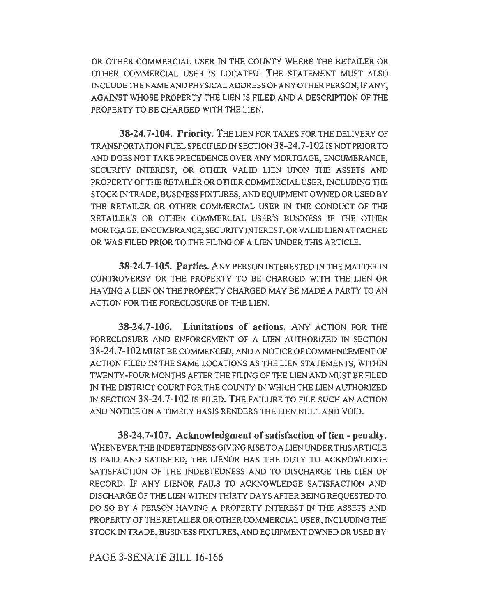OR OTHER COMMERCIAL USER IN THE COUNTY WHERE THE RETAILER OR OTHER COMMERCIAL USER IS LOCATED. THE STATEMENT MUST ALSO INCLUDE THE NAME AND PHYSICAL ADDRESS OF ANY OTHER PERSON, IF ANY, AGAINST WHOSE PROPERTY THE LIEN IS FILED AND A DESCRIPTION OF THE PROPERTY TO BE CHARGED WITH THE LIEN.

38-24.7-104. Priority. THE LIEN FOR TAXES FOR THE DELIVERY OF TRANSPORTATION FUEL SPECIFIED IN SECTION 3 8-24. 7-102 IS NOT PRIOR TO AND DOES NOT TAKE PRECEDENCE OVER ANY MORTGAGE, ENCUMBRANCE, SECURITY INTEREST, OR OTHER VALID LIEN UPON THE ASSETS AND PROPERTY OF THE RETAILER OR OTHER COMMERCIAL USER, INCLUDING THE STOCK IN TRADE, BUSINESS FIXTURES, AND EQUIPMENT OWNED OR USED BY THE RETAILER OR OTHER COMMERCIAL USER IN THE CONDUCT OF THE RETAILER'S OR OTHER COMMERCIAL USER'S BUSINESS IF THE OTHER MORTGAGE, ENCUMBRANCE, SECURITY INTEREST, OR VALID LIEN ATTACHED OR WAS FILED PRIOR TO THE FILING OF A LIEN UNDER THIS ARTICLE.

38-24.7-105. Parties. ANY PERSON INTERESTED IN THE MATTER IN CONTROVERSY OR THE PROPERTY TO BE CHARGED WITH THE LIEN OR HAVING A LIEN ON THE PROPERTY CHARGED MAY BE MADE A PARTY TO AN ACTION FOR THE FORECLOSURE OF THE LIEN.

38-24.7-106. Limitations of actions. ANY ACTION FOR THE FORECLOSURE AND ENFORCEMENT OF A LIEN AUTHORIZED IN SECTION 3 8-24. 7-102 MUST BE COMMENCED, AND A NOTICE OF COMMENCEMENT OF ACTION FILED IN THE SAME LOCATIONS AS THE LIEN STATEMENTS, WITHIN TWENTY-FOUR MONTHS AFTER THE FILING OF THE LIEN AND MUST BE FILED IN THE DISTRICT COURT FOR THE COUNTY IN WHICH THE LIEN AUTHORIZED IN SECTION 38-24.7-102 IS FILED. THE FAILURE TO FILE SUCH AN ACTION AND NOTICE ON A TIMELY BASIS RENDERS THE LIEN NULL AND VOID.

38-24.7-107. Acknowledgment of satisfaction of lien - penalty. WHENEVER THE INDEBTEDNESS GIVING RISE TO A LIEN UNDER THIS ARTICLE IS PAID AND SATISFIED, THE LIENOR HAS THE DUTY TO ACKNOWLEDGE SATISFACTION OF THE INDEBTEDNESS AND TO DISCHARGE THE LIEN OF RECORD. IF ANY LIENOR FAILS TO ACKNOWLEDGE SATISFACTION AND DISCHARGE OF THE LIEN WITHIN TIIIRTY DAYS AFTER BEING REQUESTED TO DO SO BY A PERSON HAVING A PROPERTY INTEREST IN THE ASSETS AND PROPERTY OF THE RETAILER OR OTHER COMMERCIAL USER, INCLUDING THE STOCK IN TRADE, BUSINESS FIXTURES, AND EQUIPMENT OWNED OR USED BY

PAGE 3-SENATE BILL 16-166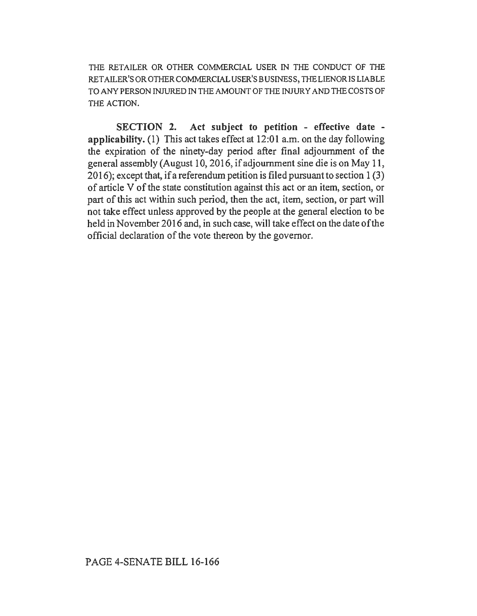THE RETAILER OR OTHER COMMERCIAL USER IN THE CONDUCT OF THE RETAILER'SOROTHERCOMMERCIALUSER'SBUSINESS, THELIENORISLIABLE TO ANY PERSON INJURED IN THE AMOUNT OF THE INJURY AND THE COSTS OF THE ACTION.

SECTION 2. Act subject to petition - effective date applicability. (1) This act takes effect at 12:01 a.m. on the day following the expiration of the ninety-day period after final adjournment of the general assembly (August 10, 2016, if adjournment sine die is on May 11, 2016); except that, if a referendum petition is filed pursuant to section 1 (3) of article V of the state constitution against this act or an item, section, or part of this act within such period, then the act, item, section, or part will not take effect unless approved by the people at the general election to be held in November 2016 and, in such case, will take effect on the date of the official declaration of the vote thereon by the governor.